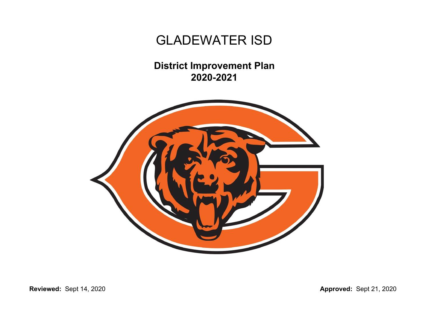**District Improvement Plan 2020-2021**



**Reviewed:** Sept 14, 2020 **Approved:** Sept 21, 2020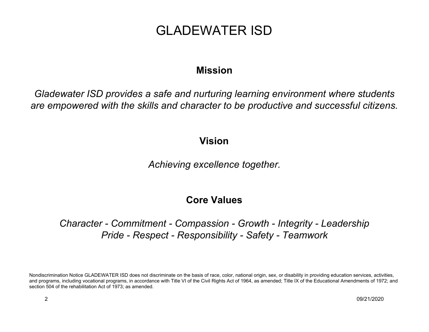### **Mission**

*Gladewater ISD provides a safe and nurturing learning environment where students are empowered with the skills and character to be productive and successful citizens.*

### **Vision**

*Achieving excellence together.*

### **Core Values**

*Character - Commitment - Compassion - Growth - Integrity - Leadership Pride - Respect - Responsibility - Safety - Teamwork*

Nondiscrimination Notice GLADEWATER ISD does not discriminate on the basis of race, color, national origin, sex, or disability in providing education services, activities, and programs, including vocational programs, in accordance with Title VI of the Civil Rights Act of 1964, as amended; Title IX of the Educational Amendments of 1972; and section 504 of the rehabilitation Act of 1973; as amended.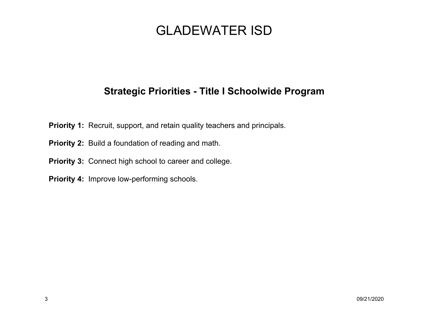### **Strategic Priorities - Title I Schoolwide Program**

- **Priority 1:** Recruit, support, and retain quality teachers and principals.
- **Priority 2:** Build a foundation of reading and math.
- **Priority 3:** Connect high school to career and college.
- **Priority 4:** Improve low-performing schools.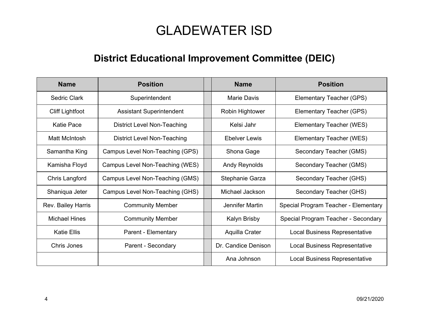### **District Educational Improvement Committee (DEIC)**

| <b>Name</b>            | <b>Position</b>                    | <b>Name</b>         | <b>Position</b>                      |
|------------------------|------------------------------------|---------------------|--------------------------------------|
| Sedric Clark           | Superintendent                     | <b>Marie Davis</b>  | Elementary Teacher (GPS)             |
| <b>Cliff Lightfoot</b> | <b>Assistant Superintendent</b>    | Robin Hightower     | Elementary Teacher (GPS)             |
| <b>Katie Pace</b>      | <b>District Level Non-Teaching</b> | Kelsi Jahr          | Elementary Teacher (WES)             |
| Matt McIntosh          | District Level Non-Teaching        | Ebelver Lewis       | Elementary Teacher (WES)             |
| Samantha King          | Campus Level Non-Teaching (GPS)    | Shona Gage          | Secondary Teacher (GMS)              |
| Kamisha Floyd          | Campus Level Non-Teaching (WES)    | Andy Reynolds       | Secondary Teacher (GMS)              |
| Chris Langford         | Campus Level Non-Teaching (GMS)    | Stephanie Garza     | Secondary Teacher (GHS)              |
| Shaniqua Jeter         | Campus Level Non-Teaching (GHS)    | Michael Jackson     | Secondary Teacher (GHS)              |
| Rev. Bailey Harris     | <b>Community Member</b>            | Jennifer Martin     | Special Program Teacher - Elementary |
| <b>Michael Hines</b>   | <b>Community Member</b>            | Kalyn Brisby        | Special Program Teacher - Secondary  |
| <b>Katie Ellis</b>     | Parent - Elementary                | Aquilla Crater      | Local Business Representative        |
| Chris Jones            | Parent - Secondary                 | Dr. Candice Denison | <b>Local Business Representative</b> |
|                        |                                    | Ana Johnson         | <b>Local Business Representative</b> |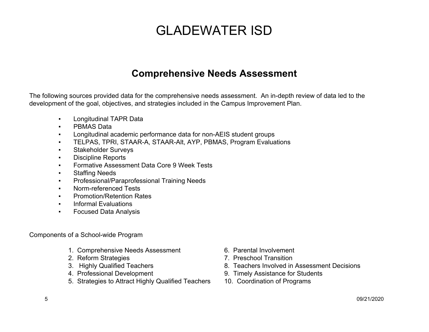### **Comprehensive Needs Assessment**

The following sources provided data for the comprehensive needs assessment. An in-depth review of data led to the development of the goal, objectives, and strategies included in the Campus Improvement Plan.

- Longitudinal TAPR Data
- PBMAS Data
- Longitudinal academic performance data for non-AEIS student groups
- TELPAS, TPRI, STAAR-A, STAAR-Alt, AYP, PBMAS, Program Evaluations
- Stakeholder Surveys
- Discipline Reports
- Formative Assessment Data Core 9 Week Tests
- **Staffing Needs**
- Professional/Paraprofessional Training Needs
- Norm-referenced Tests
- Promotion/Retention Rates
- Informal Evaluations
- Focused Data Analysis

Components of a School-wide Program

- 1. Comprehensive Needs Assessment 6. Parental Involvement
- 
- 
- 
- 5. Strategies to Attract Highly Qualified Teachers 10. Coordination of Programs
- 
- 2. Reform Strategies 7. Preschool Transition
- 3. Highly Qualified Teachers **8. Teachers Involved in Assessment Decisions**
- 4. Professional Development 9. Timely Assistance for Students
	-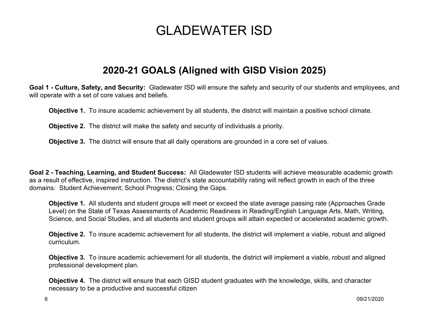### **2020-21 GOALS (Aligned with GISD Vision 2025)**

**Goal 1 - Culture, Safety, and Security:** Gladewater ISD will ensure the safety and security of our students and employees, and will operate with a set of core values and beliefs.

**Objective 1.** To insure academic achievement by all students, the district will maintain a positive school climate.

**Objective 2.** The district will make the safety and security of individuals a priority.

**Objective 3.** The district will ensure that all daily operations are grounded in a core set of values.

**Goal 2 - Teaching, Learning, and Student Success:** All Gladewater ISD students will achieve measurable academic growth as a result of effective, inspired instruction. The district's state accountability rating will reflect growth in each of the three domains: Student Achievement; School Progress; Closing the Gaps.

**Objective 1.** All students and student groups will meet or exceed the state average passing rate (Approaches Grade Level) on the State of Texas Assessments of Academic Readiness in Reading/English Language Arts, Math, Writing, Science, and Social Studies, and all students and student groups will attain expected or accelerated academic growth.

**Objective 2.** To insure academic achievement for all students, the district will implement a viable, robust and aligned curriculum.

**Objective 3.** To insure academic achievement for all students, the district will implement a viable, robust and aligned professional development plan.

**Objective 4.** The district will ensure that each GISD student graduates with the knowledge, skills, and character necessary to be a productive and successful citizen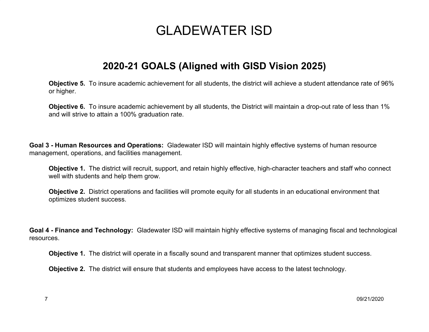### **2020-21 GOALS (Aligned with GISD Vision 2025)**

**Objective 5.** To insure academic achievement for all students, the district will achieve a student attendance rate of 96% or higher.

**Objective 6.** To insure academic achievement by all students, the District will maintain a drop-out rate of less than 1% and will strive to attain a 100% graduation rate.

**Goal 3 - Human Resources and Operations:** Gladewater ISD will maintain highly effective systems of human resource management, operations, and facilities management.

**Objective 1.** The district will recruit, support, and retain highly effective, high-character teachers and staff who connect well with students and help them grow.

**Objective 2.** District operations and facilities will promote equity for all students in an educational environment that optimizes student success.

**Goal 4 - Finance and Technology:** Gladewater ISD will maintain highly effective systems of managing fiscal and technological resources.

**Objective 1.** The district will operate in a fiscally sound and transparent manner that optimizes student success.

**Objective 2.** The district will ensure that students and employees have access to the latest technology.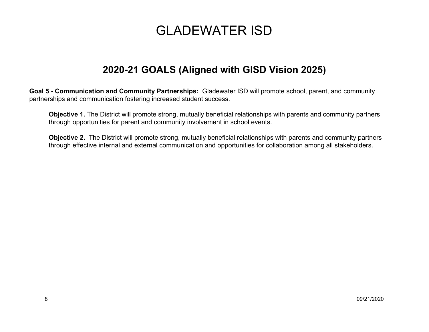### **2020-21 GOALS (Aligned with GISD Vision 2025)**

**Goal 5 - Communication and Community Partnerships:** Gladewater ISD will promote school, parent, and community partnerships and communication fostering increased student success.

**Objective 1.** The District will promote strong, mutually beneficial relationships with parents and community partners through opportunities for parent and community involvement in school events.

**Objective 2.** The District will promote strong, mutually beneficial relationships with parents and community partners through effective internal and external communication and opportunities for collaboration among all stakeholders.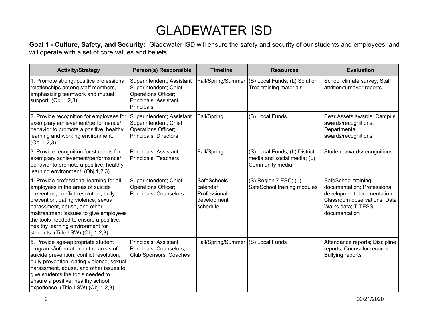**Goal 1 - Culture, Safety, and Security:** Gladewater ISD will ensure the safety and security of our students and employees, and will operate with a set of core values and beliefs.

| <b>Activity/Strategy</b>                                                                                                                                                                                                                                                                                                                                     | <b>Person(s) Responsible</b>                                                                                     | <b>Timeline</b>                                                            | <b>Resources</b>                                                                | <b>Evaluation</b>                                                                                                                                       |
|--------------------------------------------------------------------------------------------------------------------------------------------------------------------------------------------------------------------------------------------------------------------------------------------------------------------------------------------------------------|------------------------------------------------------------------------------------------------------------------|----------------------------------------------------------------------------|---------------------------------------------------------------------------------|---------------------------------------------------------------------------------------------------------------------------------------------------------|
| 1. Promote strong, positive professional<br>relationships among staff members,<br>emphasizing teamwork and mutual<br>support. (Obj 1,2,3)                                                                                                                                                                                                                    | Superintendent; Assistant<br>Superintendent; Chief<br>Operations Officer;<br>Principals; Assistant<br>Principals | Fall/Spring/Summer                                                         | (S) Local Funds; (L) Solution<br>Tree training materials                        | School climate survey; Staff<br>attrition/turnover reports                                                                                              |
| 2. Provide recognition for employees for<br>exemplary achievement/performance/<br>behavior to promote a positive, healthy<br>learning and working environment.<br>(Obj 1,2,3)                                                                                                                                                                                | Superintendent; Assistant<br>Superintendent; Chief<br>Operations Officer;<br>Principals; Directors               | Fall/Spring                                                                | (S) Local Funds                                                                 | Bear Assets awards; Campus<br>awards/recognitions;<br>Departmental<br>awards/recognitions                                                               |
| 3. Provide recognition for students for<br>exemplary achievement/performance/<br>behavior to promote a positive, healthy<br>learning environment. (Obj 1,2,3)                                                                                                                                                                                                | Principals; Assistant<br>Principals; Teachers                                                                    | Fall/Spring                                                                | (S) Local Funds; (L) District<br>media and social media; (L)<br>Community media | Student awards/recognitions                                                                                                                             |
| 4. Provide professional learning for all<br>employees in the areas of suicide<br>prevention, conflict resolution, bully<br>prevention, dating violence, sexual<br>harassment, abuse, and other<br>maltreatment isssues to give employees<br>the tools needed to ensure a positive,<br>healthy learning environment for<br>students. (Title I SW) (Obj 1,2,3) | Superintendent; Chief<br>Operations Officer;<br>Principals; Counselors                                           | <b>SafeSchools</b><br>calendar;<br>Professional<br>development<br>schedule | (S) Region 7 ESC; (L)<br>SafeSchool training modules                            | SafeSchool training<br>documentation; Professional<br>development documentation;<br>Classroom observations; Data<br>Walks data; T-TESS<br>documentation |
| 5. Provide age-appropriate student<br>programs/information in the areas of<br>suicide prevention, conflict resolution,<br>bully prevention, dating violence, sexual<br>harassment, abuse, and other issues to<br>give students the tools needed to<br>ensure a positive, healthy school<br>experience. (Title I SW) (Obj 1,2,3)                              | Principals; Assistant<br>Principals; Counselors;<br>Club Sponsors; Coaches                                       | Fall/Spring/Summer (S) Local Funds                                         |                                                                                 | Attendance reports; Discipline<br>reports; Counselor records;<br><b>Bullying reports</b>                                                                |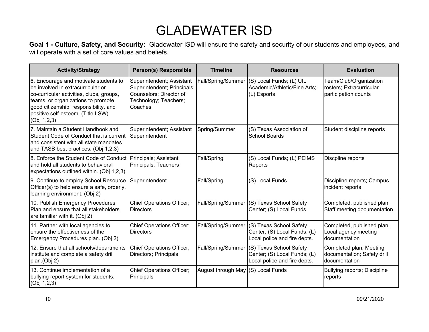**Goal 1 - Culture, Safety, and Security:** Gladewater ISD will ensure the safety and security of our students and employees, and will operate with a set of core values and beliefs.

| <b>Activity/Strategy</b>                                                                                                                                                                                                                                   | <b>Person(s) Responsible</b>                                                                                            | <b>Timeline</b>                    | <b>Resources</b>                                                                        | <b>Evaluation</b>                                                          |
|------------------------------------------------------------------------------------------------------------------------------------------------------------------------------------------------------------------------------------------------------------|-------------------------------------------------------------------------------------------------------------------------|------------------------------------|-----------------------------------------------------------------------------------------|----------------------------------------------------------------------------|
| 6. Encourage and motivate students to<br>be involved in extracurricular or<br>co-curricular activities, clubs, groups,<br>teams, or organizations to promote<br>good citizenship, responsibility, and<br>positive self-esteem. (Title I SW)<br>(Obj 1,2,3) | Superintendent; Assistant<br>Superintendent; Principals;<br>Counselors; Director of<br>Technology; Teachers;<br>Coaches | Fall/Spring/Summer                 | (S) Local Funds; (L) UIL<br>Academic/Athletic/Fine Arts;<br>(L) Esports                 | Team/Club/Organization<br>rosters; Extracurricular<br>participation counts |
| 7. Maintain a Student Handbook and<br>Student Code of Conduct that is current<br>and consistent with all state mandates<br>and TASB best practices. (Obj 1,2,3)                                                                                            | Superintendent; Assistant<br>Superintendent                                                                             | Spring/Summer                      | (S) Texas Association of<br><b>School Boards</b>                                        | Student discipline reports                                                 |
| 8. Enforce the Student Code of Conduct<br>and hold all students to behavioral<br>expectations outlined within. (Obj 1,2,3)                                                                                                                                 | Principals; Assistant<br>Principals; Teachers                                                                           | Fall/Spring                        | (S) Local Funds; (L) PEIMS<br>Reports                                                   | Discpline reports                                                          |
| 9. Continue to employ School Resource<br>Officer(s) to help ensure a safe, orderly,<br>learning environment. (Obj 2)                                                                                                                                       | Superintendent                                                                                                          | Fall/Spring                        | (S) Local Funds                                                                         | Discipline reports; Campus<br>incident reports                             |
| 10. Publish Emergency Procedures<br>Plan and ensure that all stakeholders<br>are familiar with it. (Obj 2)                                                                                                                                                 | <b>Chief Operations Officer;</b><br><b>Directors</b>                                                                    | Fall/Spring/Summer                 | (S) Texas School Safety<br>Center; (S) Local Funds                                      | Completed, published plan;<br>Staff meeting documentation                  |
| 11. Partner with local agencies to<br>ensure the effectiveness of the<br>Emergency Procedures plan. (Obj 2)                                                                                                                                                | <b>Chief Operations Officer;</b><br><b>Directors</b>                                                                    | Fall/Spring/Summer                 | (S) Texas School Safety<br>Center; (S) Local Funds; (L)<br>Local police and fire depts. | Completed, published plan;<br>Local agency meeting<br>documentation        |
| 12. Ensure that all schools/departments<br>institute and complete a safety drill<br>plan.(Obj 2)                                                                                                                                                           | <b>Chief Operations Officer;</b><br>Directors; Principals                                                               | Fall/Spring/Summer                 | (S) Texas School Safety<br>Center; (S) Local Funds; (L)<br>Local police and fire depts. | Completed plan; Meeting<br>documentation; Safety drill<br>documentation    |
| 13. Continue implementation of a<br>bullying report system for students.<br>(Obj 1,2,3)                                                                                                                                                                    | <b>Chief Operations Officer;</b><br>Principals                                                                          | August through May (S) Local Funds |                                                                                         | <b>Bullying reports; Discipline</b><br>reports                             |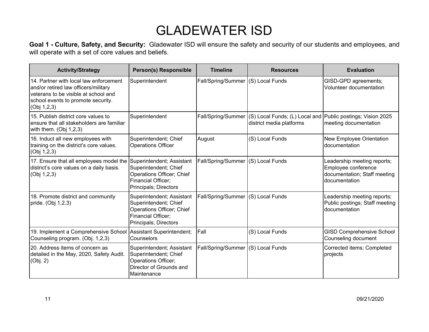**Goal 1 - Culture, Safety, and Security:** Gladewater ISD will ensure the safety and security of our students and employees, and will operate with a set of core values and beliefs.

| <b>Activity/Strategy</b>                                                                                                                                                    | <b>Person(s) Responsible</b>                                                                                                   | <b>Timeline</b>                    | <b>Resources</b>                                           | <b>Evaluation</b>                                                                                   |
|-----------------------------------------------------------------------------------------------------------------------------------------------------------------------------|--------------------------------------------------------------------------------------------------------------------------------|------------------------------------|------------------------------------------------------------|-----------------------------------------------------------------------------------------------------|
| 14. Partner with local law enforcement<br>and/or retired law officers/military<br>veterans to be visible at school and<br>school events to promote security.<br>(Obj 1,2,3) | Superintendent                                                                                                                 | Fall/Spring/Summer                 | (S) Local Funds                                            | GISD-GPD agreements;<br>Volunteer documentation                                                     |
| 15. Publish district core values to<br>ensure that all stakeholders are familiar<br>with them. $(Obj 1,2,3)$                                                                | Superintendent                                                                                                                 | Fall/Spring/Summer                 | (S) Local Funds; (L) Local and<br>district media platforms | Public postings; Vision 2025<br>meeting documentation                                               |
| 16. Induct all new employees with<br>training on the district's core values.<br>(Obj 1,2,3)                                                                                 | Superintendent; Chief<br><b>Operations Officer</b>                                                                             | August                             | (S) Local Funds                                            | New Employee Orientation<br>documentation                                                           |
| 17. Ensure that all employees model the<br>district's core values on a daily basis.<br>(Obj 1,2,3)                                                                          | Superintendent; Assistant<br>Superintendent; Chief<br>Operations Officer; Chief<br>Financial Officer;<br>Principals; Directors | Fall/Spring/Summer                 | (S) Local Funds                                            | Leadership meeting reports;<br>Employee conference<br>documentation; Staff meeting<br>documentation |
| 18. Promote district and community<br>pride. (Obj 1,2,3)                                                                                                                    | Superintendent; Assistant<br>Superintendent; Chief<br>Operations Officer; Chief<br>Financial Officer:<br>Principals; Directors | Fall/Spring/Summer (S) Local Funds |                                                            | Leadership meeting reports;<br>Public postings; Staff meeting<br>documentation                      |
| 19. Implement a Comprehensive School Assistant Superintendent;<br>Counseling program. (Obj. 1,2,3)                                                                          | Counselors                                                                                                                     | Fall                               | (S) Local Funds                                            | <b>GISD Comprehensive School</b><br>Counseling document                                             |
| 20. Address items of concern as<br>detailed in the May, 2020, Safety Audit.<br>(Obj. 2)                                                                                     | Superintendent; Assistant<br>Superintendent; Chief<br>Operations Officer;<br>Director of Grounds and<br>Maintenance            | Fall/Spring/Summer (S) Local Funds |                                                            | Corrected items; Completed<br>projects                                                              |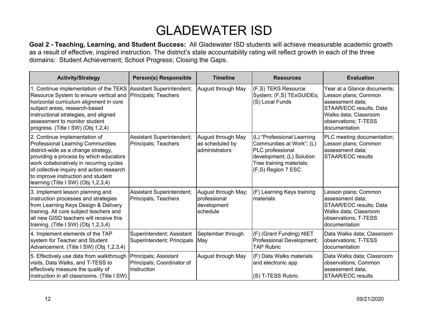| <b>Activity/Strategy</b>                                                                                                                                                                                                                                                                                                  | <b>Person(s) Responsible</b>                                       | <b>Timeline</b>                                                | <b>Resources</b>                                                                                                                                              | <b>Evaluation</b>                                                                                                                                                    |
|---------------------------------------------------------------------------------------------------------------------------------------------------------------------------------------------------------------------------------------------------------------------------------------------------------------------------|--------------------------------------------------------------------|----------------------------------------------------------------|---------------------------------------------------------------------------------------------------------------------------------------------------------------|----------------------------------------------------------------------------------------------------------------------------------------------------------------------|
| 1. Continue implementation of the TEKS<br>Resource System to ensure vertical and<br>horizontal curriculum alignment in core<br>subject areas, research-based<br>instructional strategies, and aligned<br>assessment to monitor student<br>progress. (Title I SW) (Obj 1,2,4)                                              | Assistant Superintendent;<br>Principals; Teachers                  | August through May                                             | (F,S) TEKS Resource<br>System; (F,S) TExGUIDEs;<br>(S) Local Funds                                                                                            | Year at a Glance documents:<br>Lesson plans; Common<br>assessment data;<br>STAAR/EOC results, Data<br>Walks data; Classroom<br>observations; T-TESS<br>documentation |
| 2. Continue implementation of<br>Professional Learning Communities<br>district-wide as a change strategy,<br>providing a process by which educators<br>work collaboratively in recurring cycles<br>of collective inquiry and action research<br>to improve instruction and student<br>learning (Title I SW) (Obj 1,2,3,4) | Assistant Superintendent;<br>Principals; Teachers                  | August through May<br>as scheduled by<br>administrators        | (L) "Professional Learning<br>Communities at Work"; (L)<br>PLC professional<br>development; (L) Solution<br>Tree training materials;<br>$(F, S)$ Region 7 ESC | PLC meeting documentation;<br>Lesson plans; Common<br>assessment data;<br><b>STAAR/EOC results</b>                                                                   |
| 3. Implement lesson planning and<br>instruction processes and strategies<br>from Learning Keys Design & Delivery<br>training. All core subject teachers and<br>all new GISD teachers will receive this<br>training. (Title I SW) (Obj 1,2,3,4)                                                                            | Assistant Superintendent;<br>Principals; Teachers                  | August through May;<br>professional<br>development<br>schedule | (F) Learning Keys training<br>materials                                                                                                                       | Lesson plans; Common<br>assessment data;<br>STAAR/EOC results; Data<br>Walks data; Classroom<br>observations; T-TESS<br>documentation                                |
| 4. Implement elements of the TAP<br>system for Teacher and Student<br>Advancement. (Title I SW) (Obj 1,2,3,4)                                                                                                                                                                                                             | Superintendent; Assistant<br>Superintendent; Principals            | September through<br>May                                       | (F) (Grant Funding) NIET<br>Professional Development;<br><b>TAP Rubric</b>                                                                                    | Data Walks data; Classroom<br>observations; T-TESS<br>documentation                                                                                                  |
| 5. Effectively use data from walkthrough<br>visits, Data Walks, and T-TESS to<br>effectively measure the quality of<br>instruction in all classrooms. (Title I SW)                                                                                                                                                        | Principals; Assistant<br>Principals; Coordinator of<br>Instruction | August through May                                             | (F) Data Walks materials<br>and electronic app<br>(S) T-TESS Rubric                                                                                           | Data Walks data; Classroom<br>observations; Common<br>assessment data;<br>STAAR/EOC results                                                                          |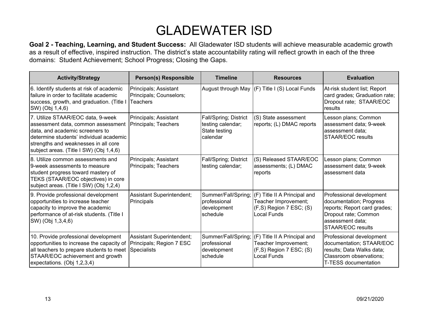| <b>Activity/Strategy</b>                                                                                                                                                                                                                 | <b>Person(s) Responsible</b>                                                | <b>Timeline</b>                                                         | <b>Resources</b>                                                                                    | <b>Evaluation</b>                                                                                                                                           |
|------------------------------------------------------------------------------------------------------------------------------------------------------------------------------------------------------------------------------------------|-----------------------------------------------------------------------------|-------------------------------------------------------------------------|-----------------------------------------------------------------------------------------------------|-------------------------------------------------------------------------------------------------------------------------------------------------------------|
| 6. Identify students at risk of academic<br>failure in order to facilitate academic<br>success, growth, and graduation. (Title I<br>SW) (Obj 1,4,6)                                                                                      | Principals; Assistant<br>Principals; Counselors;<br>Teachers                |                                                                         | August through May (F) Title I (S) Local Funds                                                      | At-risk student list; Report<br>card grades; Graduation rate;<br>Dropout rate; STAAR/EOC<br>results                                                         |
| 7. Utilize STAAR/EOC data, 9-week<br>assessment data, common assessment<br>data, and academic screeners to<br>determine students' individual academic<br>strengths and weaknesses in all core<br>subject areas. (Title I SW) (Obj 1,4,6) | Principals; Assistant<br>Principals; Teachers                               | Fall/Spring; District<br>testing calendar;<br>State testing<br>calendar | (S) State assessment<br>reports; (L) DMAC reports                                                   | Lesson plans; Common<br>assessment data; 9-week<br>assessment data;<br><b>STAAR/EOC results</b>                                                             |
| 8. Utilize common assessments and<br>9-week assessments to measure<br>student progress toward mastery of<br>TEKS (STAAR/EOC objectives) in core<br>subject areas. (Title I SW) (Obj 1,2,4)                                               | Principals; Assistant<br>Principals; Teachers                               | Fall/Spring; District<br>testing calendar;                              | (S) Released STAAR/EOC<br>assessments; (L) DMAC<br>reports                                          | Lesson plans; Common<br>assessment data; 9-week<br>assessment data                                                                                          |
| 9. Provide professional development<br>opportunities to increase teacher<br>capacity to improve the academic<br>performance of at-risk students. (Title I<br>SW) (Obj 1,3,4,6)                                                           | Assistant Superintendent;<br>Principals                                     | Summer/Fall/Spring;<br>professional<br>development<br>schedule          | (F) Title II A Principal and<br>Teacher Improvement;<br>$(F, S)$ Region 7 ESC; $(S)$<br>Local Funds | Professional development<br>documentation; Progress<br>reports; Report card grades;<br>Dropout rate; Common<br>assessment data;<br><b>STAAR/EOC results</b> |
| 10. Provide professional development<br>opportunities to increase the capacity of<br>all teachers to prepare students to meet<br>STAAR/EOC achievement and growth<br>expectations. (Obj 1,2,3,4)                                         | Assistant Superintendent;<br>Principals; Region 7 ESC<br><b>Specialists</b> | Summer/Fall/Spring;<br>professional<br>development<br>schedule          | (F) Title II A Principal and<br>Teacher Improvement;<br>$(F, S)$ Region 7 ESC; $(S)$<br>Local Funds | Professional development<br>documentation; STAAR/EOC<br>results; Data Walks data;<br>Classroom observations;<br><b>T-TESS documentation</b>                 |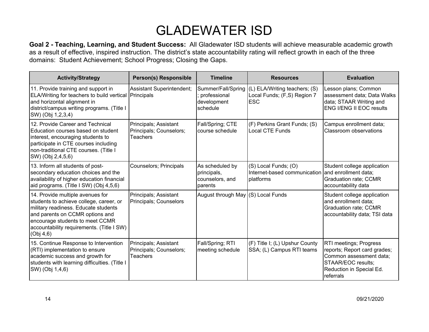| <b>Activity/Strategy</b>                                                                                                                                                                                                                            | <b>Person(s) Responsible</b>                                        | <b>Timeline</b>                                                 | <b>Resources</b>                                                           | <b>Evaluation</b>                                                                                                                                |
|-----------------------------------------------------------------------------------------------------------------------------------------------------------------------------------------------------------------------------------------------------|---------------------------------------------------------------------|-----------------------------------------------------------------|----------------------------------------------------------------------------|--------------------------------------------------------------------------------------------------------------------------------------------------|
| 11. Provide training and support in<br>ELA/Writing for teachers to build vertical Principals<br>and horizontal alignment in<br>district/campus writing programs. (Title I<br>SW) (Obj 1,2,3,4)                                                      | Assistant Superintendent;                                           | Summer/Fall/Spring<br>; professional<br>development<br>schedule | (L) ELA/Writing teachers; (S)<br>Local Funds; (F,S) Region 7<br><b>ESC</b> | Lesson plans; Common<br>assessment data; Data Walks<br>data; STAAR Writing and<br><b>ENG I/ENG II EOC results</b>                                |
| 12. Provide Career and Technical<br>Education courses based on student<br>interest, encouraging students to<br>participate in CTE courses including<br>non-traditional CTE courses. (Title I<br>SW) (Obj 2,4,5,6)                                   | Principals; Assistant<br>Principals; Counselors;<br><b>Teachers</b> | Fall/Spring; CTE<br>course schedule                             | (F) Perkins Grant Funds; (S)<br><b>Local CTE Funds</b>                     | Campus enrollment data;<br>Classroom observations                                                                                                |
| 13. Inform all students of post-<br>secondary education choices and the<br>availability of higher education financial<br>aid programs. (Title I SW) (Obj 4,5,6)                                                                                     | <b>Counselors; Principals</b>                                       | As scheduled by<br>principals,<br>counselors, and<br>parents    | (S) Local Funds; (O)<br>Internet-based communication<br>platforms          | Student college application<br>and enrollment data;<br>Graduation rate; CCMR<br>accountability data                                              |
| 14. Provide multiple avenues for<br>students to achieve college, career, or<br>military readiness. Educate students<br>and parents on CCMR options and<br>encourage students to meet CCMR<br>accountability requirements. (Title I SW)<br>(Obj 4,6) | Principals; Assistant<br>Principals; Counselors                     | August through May (S) Local Funds                              |                                                                            | Student college application<br>and enrollment data;<br><b>Graduation rate; CCMR</b><br>accountability data; TSI data                             |
| 15. Continue Response to Intervention<br>(RTI) implementation to ensure<br>academic success and growth for<br>students with learning difficulties. (Title I<br>SW) (Obj 1,4,6)                                                                      | Principals; Assistant<br>Principals; Counselors;<br>Teachers        | Fall/Spring; RTI<br>meeting schedule                            | (F) Title I; (L) Upshur County<br>SSA; (L) Campus RTI teams                | RTI meetings; Progress<br>reports; Report card grades;<br>Common assessment data;<br>STAAR/EOC results;<br>Reduction in Special Ed.<br>referrals |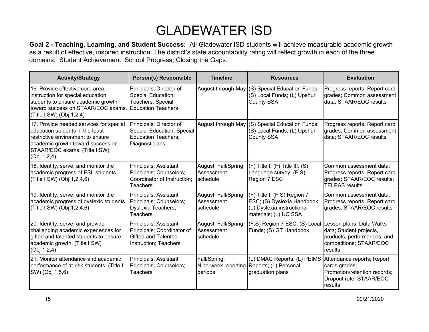| <b>Activity/Strategy</b>                                                                                                                                                                             | <b>Person(s) Responsible</b>                                                                          | <b>Timeline</b>                                | <b>Resources</b>                                                                                                  | <b>Evaluation</b>                                                                                                        |
|------------------------------------------------------------------------------------------------------------------------------------------------------------------------------------------------------|-------------------------------------------------------------------------------------------------------|------------------------------------------------|-------------------------------------------------------------------------------------------------------------------|--------------------------------------------------------------------------------------------------------------------------|
| 16. Provide effective core area<br>instruction for special education<br>students to ensure academic growth<br>toward success on STAAR/EOC exams.<br>(Title I SW) (Obj 1,2,4)                         | Principals; Director of<br>Special Education;<br>Teachers; Special<br><b>Education Teachers</b>       |                                                | August through May (S) Special Education Funds;<br>(S) Local Funds; (L) Upshur<br>County SSA                      | Progress reports; Report card<br>grades; Common assessment<br>data; STAAR/EOC results                                    |
| 17. Provide needed services for special<br>education students in the least<br>restrictive environment to ensure<br>academic growth toward success on<br>STAAR/EOC exams. (Title I SW)<br>(Obj 1,2,4) | Principals; Director of<br>Special Education; Special<br><b>Education Teachers;</b><br>Diagnosticians | August through May                             | (S) Special Education Funds;<br>(S) Local Funds; (L) Upshur<br>County SSA                                         | Progress reports; Report card<br>grades; Common assessment<br>data; STAAR/EOC results                                    |
| 18. Identify, serve, and monitor the<br>academic progress of ESL students.<br>(Title I SW) (Obj 1,2,4,6)                                                                                             | Principals; Assistant<br>Principals; Counselors;<br>Coordinator of Instruction;<br><b>Teachers</b>    | August; Fall/Spring;<br>Assessment<br>schedule | $(F)$ Title I; $(F)$ Title III; $(S)$<br>Language survey; (F,S)<br>Region 7 ESC                                   | Common assessment data;<br>Progress reports; Report card<br>grades; STAAR/EOC results;<br><b>TELPAS</b> results          |
| 19. Identify, serve, and monitor the<br>academic progress of dyslexic students.<br>(Title I SW) (Obj 1,2,4,6)                                                                                        | Principals; Assistant<br>Principals; Counselors;<br><b>Dyslexia Teachers;</b><br>Teachers             | August; Fall/Spring;<br>Assessment<br>schedule | (F) Title I; (F,S) Region 7<br>ESC; (S) Dyslexia Handbook;<br>(L) Dyslexia instructional<br>materials; (L) UC SSA | Common assessment data;<br>Progress reports; Report card<br>grades; STAAR/EOC results                                    |
| 20. Identify, serve, and provide<br>challenging academic experiences for<br>gifted and talented students to ensure<br>academic growth. (Title I SW)<br>(Obj 1, 2, 4)                                 | Principals; Assistant<br>Principals; Coordinator of<br>Gifted and Talented<br>Instruction; Teachers   | August; Fall/Spring;<br>Assessment<br>schedule | (F,S) Region 7 ESC; (S) Local<br>Funds; (S) GT Handbook                                                           | Lesson plans; Data Walks<br>data; Student projects,<br>products, performances, and<br>competitions; STAAR/EOC<br>results |
| 21. Monitor attendance and academic<br>performance of at-risk students. (Title I<br>SW) (Obj 1,5,6)                                                                                                  | Principals; Assistant<br>Principals; Counselors;<br><b>Teachers</b>                                   | Fall/Spring;<br>periods                        | (L) DMAC Reports; (L) PEIMS<br>Nine-week reporting Reports; (L) Personal<br>graduation plans                      | Attendance reports; Report<br>cards grades;<br>Promotion/retention records;<br>Dropout rate; STAAR/EOC<br>results        |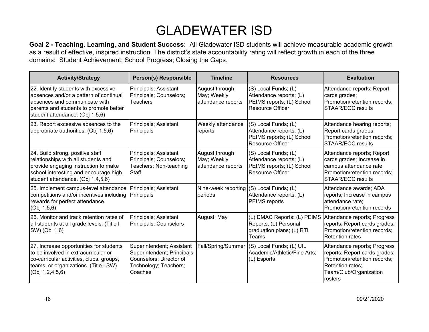| <b>Activity/Strategy</b>                                                                                                                                                                      | <b>Person(s) Responsible</b>                                                                                            | <b>Timeline</b>                                     | <b>Resources</b>                                                                                        | <b>Evaluation</b>                                                                                                                                      |
|-----------------------------------------------------------------------------------------------------------------------------------------------------------------------------------------------|-------------------------------------------------------------------------------------------------------------------------|-----------------------------------------------------|---------------------------------------------------------------------------------------------------------|--------------------------------------------------------------------------------------------------------------------------------------------------------|
| 22. Identify students with excessive<br>absences and/or a pattern of continual<br>absences and communicate with<br>parents and students to promote better<br>student attendance. (Obj 1,5,6)  | Principals; Assistant<br>Principals; Counselors;<br>Teachers                                                            | August through<br>May; Weekly<br>attendance reports | (S) Local Funds; (L)<br>Attendance reports; (L)<br>PEIMS reports; (L) School<br><b>Resource Officer</b> | Attendance reports; Report<br>cards grades;<br>Promotion/retention records;<br><b>STAAR/EOC results</b>                                                |
| 23. Report excessive absences to the<br>appropriate authorities. (Obj 1,5,6)                                                                                                                  | Principals; Assistant<br>Principals                                                                                     | Weekly attendance<br>reports                        | (S) Local Funds; (L)<br>Attendance reports; (L)<br>PEIMS reports; (L) School<br><b>Resource Officer</b> | Attendance hearing reports;<br>Report cards grades;<br>Promotion/retention records;<br><b>STAAR/EOC results</b>                                        |
| 24. Build strong, positive staff<br>relationships with all students and<br>provide engaging instruction to make<br>school interesting and encourage high<br>student attendance. (Obj 1,4,5,6) | Principals; Assistant<br>Principals; Counselors;<br>Teachers; Non-teaching<br>Staff                                     | August through<br>May; Weekly<br>attendance reports | (S) Local Funds; (L)<br>Attendance reports; (L)<br>PEIMS reports; (L) School<br><b>Resource Officer</b> | Attendance reports; Report<br>cards grades; Increase in<br>campus attendance rate;<br>Promotion/retention records;<br><b>STAAR/EOC results</b>         |
| 25. Implement campus-level attendance<br>competitions and/or incentives including<br>rewards for perfect attendance.<br>(Obj 1,5,6)                                                           | Principals; Assistant<br>Principals                                                                                     | periods                                             | Nine-week reporting $ (S)$ Local Funds; $(L)$<br>Attendance reports; (L)<br>PEIMS reports               | Attendance awards; ADA<br>reports; Increase in campus<br>attendance rate;<br>Promotion/retention records                                               |
| 26. Monitor and track retention rates of<br>all students at all grade levels. (Title I<br>SW) (Obj 1,6)                                                                                       | Principals; Assistant<br>Principals; Counselors                                                                         | August; May                                         | (L) DMAC Reports; (L) PEIMS<br>Reports; (L) Personal<br>graduation plans; (L) RTI<br>Teams              | Attendance reports; Progress<br>reports; Report cards grades;<br>Promotion/retention records;<br><b>Retention rates</b>                                |
| 27. Increase opportunities for students<br>to be involved in extracurricular or<br>co-curricular activities, clubs, groups,<br>teams, or organizations. (Title I SW)<br>(Obj 1,2,4,5,6)       | Superintendent; Assistant<br>Superintendent; Principals;<br>Counselors; Director of<br>Technology; Teachers;<br>Coaches | Fall/Spring/Summer                                  | (S) Local Funds; (L) UIL<br>Academic/Athletic/Fine Arts;<br>(L) Esports                                 | Attendance reports; Progress<br>reports; Report cards grades;<br>Promotion/retention records:<br>Retention rates;<br>Team/Club/Organization<br>rosters |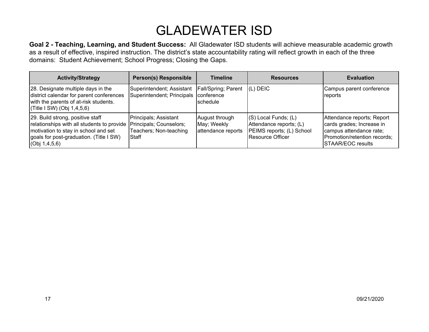| <b>Activity/Strategy</b>                                                                                                                                                                                      | <b>Person(s) Responsible</b>                                         | <b>Timeline</b>                                     | <b>Resources</b>                                                                                     | <b>Evaluation</b>                                                                                                                       |
|---------------------------------------------------------------------------------------------------------------------------------------------------------------------------------------------------------------|----------------------------------------------------------------------|-----------------------------------------------------|------------------------------------------------------------------------------------------------------|-----------------------------------------------------------------------------------------------------------------------------------------|
| 28. Designate multiple days in the<br>district calendar for parent conferences<br>with the parents of at-risk students.<br>$ $ (Title I SW) (Obj 1,4,5,6)                                                     | Superintendent; Assistant<br>Superintendent; Principals   conference | <b>Fall/Spring</b> ; Parent<br><b>Ischedule</b>     | $(L)$ DEIC                                                                                           | Campus parent conference<br>reports                                                                                                     |
| 29. Build strong, positive staff<br>relationships with all students to provide Principals; Counselors;<br>motivation to stay in school and set<br>goals for post-graduation. (Title I SW)<br>(Obj 1, 4, 5, 6) | Principals; Assistant<br>Teachers; Non-teaching<br>Staff             | August through<br>May; Weekly<br>attendance reports | $(S)$ Local Funds; $(L)$<br>Attendance reports; (L)<br>PEIMS reports; (L) School<br>Resource Officer | Attendance reports; Report<br>cards grades; Increase in<br>campus attendance rate;<br>Promotion/retention records;<br>STAAR/EOC results |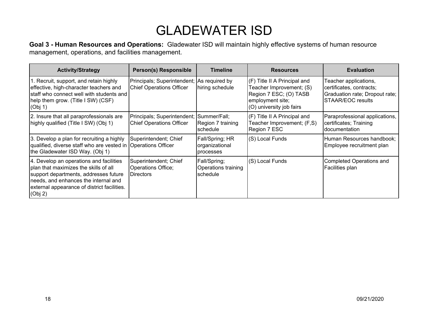**Goal 3 - Human Resources and Operations:** Gladewater ISD will maintain highly effective systems of human resource management, operations, and facilities management.

| <b>Activity/Strategy</b>                                                                                                                                                                                                    | <b>Person(s) Responsible</b>                                                  | <b>Timeline</b>                                 | <b>Resources</b>                                                                                                                   | <b>Evaluation</b>                                                                                        |
|-----------------------------------------------------------------------------------------------------------------------------------------------------------------------------------------------------------------------------|-------------------------------------------------------------------------------|-------------------------------------------------|------------------------------------------------------------------------------------------------------------------------------------|----------------------------------------------------------------------------------------------------------|
| 1. Recruit, support, and retain highly<br>effective, high-character teachers and<br>staff who connect well with students and<br>help them grow. (Title I SW) (CSF)<br>(Obj 1)                                               | Principals; Superintendent; As required by<br><b>Chief Operations Officer</b> | hiring schedule                                 | (F) Title II A Principal and<br>Teacher Improvement; (S)<br>Region 7 ESC; (O) TASB<br>employment site;<br>(O) university job fairs | Teacher applications,<br>certificates, contracts;<br>Graduation rate; Dropout rate;<br>STAAR/EOC results |
| 2. Insure that all paraprofessionals are<br>highly qualified (Title I SW) (Obj 1)                                                                                                                                           | Principals; Superintendent; Summer/Fall;<br><b>Chief Operations Officer</b>   | Region 7 training<br>schedule                   | (F) Title II A Principal and<br>Teacher Improvement; (F,S)<br>Region 7 ESC                                                         | Paraprofessional applications,<br>certificates; Training<br>Idocumentation                               |
| 3. Develop a plan for recruiting a highly<br>qualified, diverse staff who are vested in Operations Officer<br>the Gladewater ISD Way. (Obj 1)                                                                               | Superintendent; Chief                                                         | Fall/Spring; HR<br>organizational<br>processes  | (S) Local Funds                                                                                                                    | Human Resources handbook;<br>Employee recruitment plan                                                   |
| 4. Develop an operations and facilities<br>plan that maximizes the skills of all<br>support departments, addresses future<br>needs, and enhances the internal and<br>external appearance of district facilities.<br>(Obj 2) | Superintendent; Chief<br>Operations Office;<br><b>IDirectors</b>              | Fall/Spring;<br>Operations training<br>schedule | (S) Local Funds                                                                                                                    | Completed Operations and<br>Facilities plan                                                              |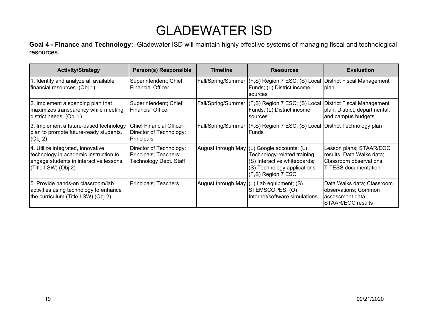**Goal 4 - Finance and Technology:** Gladewater ISD will maintain highly effective systems of managing fiscal and technological resources.

| <b>Activity/Strategy</b>                                                                                                                      | <b>Person(s) Responsible</b>                                               | <b>Timeline</b> | <b>Resources</b>                                                                                                                                                 | <b>Evaluation</b>                                                                                       |
|-----------------------------------------------------------------------------------------------------------------------------------------------|----------------------------------------------------------------------------|-----------------|------------------------------------------------------------------------------------------------------------------------------------------------------------------|---------------------------------------------------------------------------------------------------------|
| 1. Identify and analyze all available<br>financial resources. (Obj 1)                                                                         | Superintendent; Chief<br>l Financial Officer                               |                 | Fall/Spring/Summer (F,S) Region 7 ESC; (S) Local District Fiscal Management<br>Funds; (L) District income<br>sources                                             | Iplan                                                                                                   |
| 2. Implement a spending plan that<br>maximizes transparency while meeting<br>district needs. (Obj 1)                                          | Superintendent; Chief<br><b>Financial Officer</b>                          |                 | Fall/Spring/Summer (F,S) Region 7 ESC; (S) Local<br>Funds; (L) District income<br>sources                                                                        | District Fiscal Management<br>plan; District, departmental,<br>and campus budgets                       |
| 3. Implement a future-based technology<br>plan to promote future-ready students.<br>(Obj 2)                                                   | <b>Chief Financial Officer;</b><br>Director of Technology;<br>Principals   |                 | Fall/Spring/Summer (F,S) Region 7 ESC; (S) Local District Technology plan<br>Funds                                                                               |                                                                                                         |
| 4. Utilize integrated, innovative<br>technology in academic instruction to<br>engage students in interactive lessons.<br>(Title I SW) (Obj 2) | Director of Technology;<br>Principals; Teachers;<br>Technology Dept. Staff |                 | August through May (L) Google accounts; (L)<br>Technology-related training;<br>(S) Interactive whiteboards;<br>(S) Technology applications<br>(F,S) Region 7 ESC | Lesson plans; STAAR/EOC<br>results, Data Walks data;<br>Classroom observations;<br>T-TESS documentation |
| 5. Provide hands-on classroom/lab<br>activities using technology to enhance<br>the curriculum (Title I SW) (Obj 2)                            | Principals; Teachers                                                       |                 | August through May (L) Lab equipment; (S)<br>STEMSCOPES; (O)<br>Internet/software simulations                                                                    | Data Walks data; Classroom<br>observations; Common<br>assessment data;<br>STAAR/EOC results             |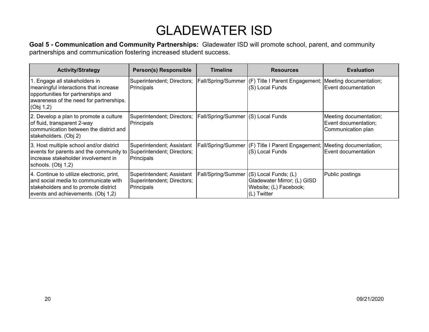**Goal 5 - Communication and Community Partnerships:** Gladewater ISD will promote school, parent, and community partnerships and communication fostering increased student success.

| <b>Activity/Strategy</b>                                                                                                                                             | <b>Person(s) Responsible</b>                                          | <b>Timeline</b>                           | <b>Resources</b>                                                                            | <b>Evaluation</b>                                                    |
|----------------------------------------------------------------------------------------------------------------------------------------------------------------------|-----------------------------------------------------------------------|-------------------------------------------|---------------------------------------------------------------------------------------------|----------------------------------------------------------------------|
| 1. Engage all stakeholders in<br>meaningful interactions that increase<br>opportunities for partnerships and<br>awareness of the need for partnerships.<br>(Obj 1,2) | Superintendent; Directors;<br>Principals                              |                                           | Fall/Spring/Summer (F) Title I Parent Engagement; Meeting documentation;<br>(S) Local Funds | Event documentation                                                  |
| 2. Develop a plan to promote a culture<br>of fluid, transparent 2-way<br>communication between the district and<br>stakeholders. (Obj 2)                             | Superintendent; Directors;<br>Principals                              | <b>Fall/Spring/Summer (S) Local Funds</b> |                                                                                             | Meeting documentation;<br>Event documentation;<br>Communication plan |
| 3. Host multiple school and/or district<br>events for parents and the community to<br>increase stakeholder involvement in<br>schools. (Obj 1,2)                      | Superintendent; Assistant<br>Superintendent; Directors;<br>Principals |                                           | Fall/Spring/Summer (F) Title I Parent Engagement; Meeting documentation;<br>(S) Local Funds | Event documentation                                                  |
| 4. Continue to utilize electronic, print,<br>and social media to communicate with<br>stakeholders and to promote district<br>events and achievements. (Obj 1,2)      | Superintendent; Assistant<br>Superintendent; Directors;<br>Principals | Fall/Spring/Summer (S) Local Funds; (L)   | Gladewater Mirror; (L) GISD<br>Website; (L) Facebook;<br>(L) Twitter                        | Public postings                                                      |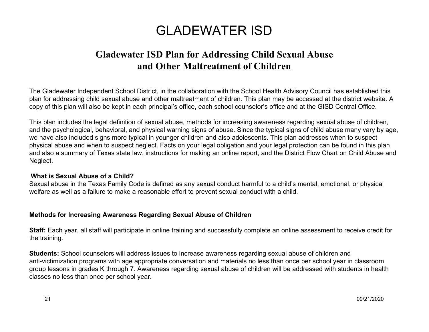### **Gladewater ISD Plan for Addressing Child Sexual Abuse and Other Maltreatment of Children**

The Gladewater Independent School District, in the collaboration with the School Health Advisory Council has established this plan for addressing child sexual abuse and other maltreatment of children. This plan may be accessed at the district website. A copy of this plan will also be kept in each principal's office, each school counselor's office and at the GISD Central Office.

This plan includes the legal definition of sexual abuse, methods for increasing awareness regarding sexual abuse of children, and the psychological, behavioral, and physical warning signs of abuse. Since the typical signs of child abuse many vary by age, we have also included signs more typical in younger children and also adolescents. This plan addresses when to suspect physical abuse and when to suspect neglect. Facts on your legal obligation and your legal protection can be found in this plan and also a summary of Texas state law, instructions for making an online report, and the District Flow Chart on Child Abuse and Neglect.

#### **What is Sexual Abuse of a Child?**

Sexual abuse in the Texas Family Code is defined as any sexual conduct harmful to a child's mental, emotional, or physical welfare as well as a failure to make a reasonable effort to prevent sexual conduct with a child.

#### **Methods for Increasing Awareness Regarding Sexual Abuse of Children**

**Staff:** Each year, all staff will participate in online training and successfully complete an online assessment to receive credit for the training.

**Students:** School counselors will address issues to increase awareness regarding sexual abuse of children and anti-victimization programs with age appropriate conversation and materials no less than once per school year in classroom group lessons in grades K through 7. Awareness regarding sexual abuse of children will be addressed with students in health classes no less than once per school year.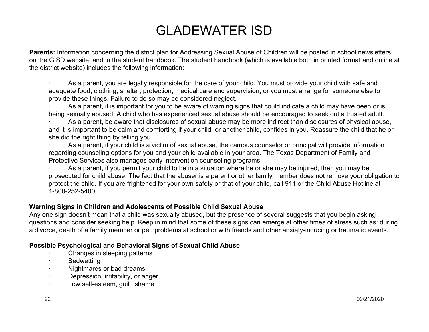**Parents:** Information concerning the district plan for Addressing Sexual Abuse of Children will be posted in school newsletters, on the GISD website, and in the student handbook. The student handbook (which is available both in printed format and online at the district website) includes the following information:

As a parent, you are legally responsible for the care of your child. You must provide your child with safe and adequate food, clothing, shelter, protection, medical care and supervision, or you must arrange for someone else to provide these things. Failure to do so may be considered neglect.

As a parent, it is important for you to be aware of warning signs that could indicate a child may have been or is being sexually abused. A child who has experienced sexual abuse should be encouraged to seek out a trusted adult.

As a parent, be aware that disclosures of sexual abuse may be more indirect than disclosures of physical abuse, and it is important to be calm and comforting if your child, or another child, confides in you. Reassure the child that he or she did the right thing by telling you.

As a parent, if your child is a victim of sexual abuse, the campus counselor or principal will provide information regarding counseling options for you and your child available in your area. The Texas Department of Family and Protective Services also manages early intervention counseling programs.

As a parent, if you permit your child to be in a situation where he or she may be injured, then you may be prosecuted for child abuse. The fact that the abuser is a parent or other family member does not remove your obligation to protect the child. If you are frightened for your own safety or that of your child, call 911 or the Child Abuse Hotline at 1-800-252-5400.

#### **Warning Signs in Children and Adolescents of Possible Child Sexual Abuse**

Any one sign doesn't mean that a child was sexually abused, but the presence of several suggests that you begin asking questions and consider seeking help. Keep in mind that some of these signs can emerge at other times of stress such as: during a divorce, death of a family member or pet, problems at school or with friends and other anxiety-inducing or traumatic events.

#### **Possible Psychological and Behavioral Signs of Sexual Child Abuse**

- Changes in sleeping patterns
- · Bedwetting
- · Nightmares or bad dreams
- · Depression, irritability, or anger
- · Low self-esteem, guilt, shame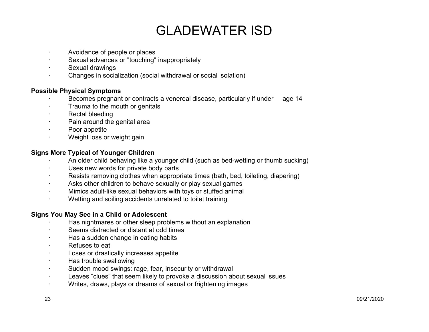- Avoidance of people or places
- Sexual advances or "touching" inappropriately
- Sexual drawings
- · Changes in socialization (social withdrawal or social isolation)

#### **Possible Physical Symptoms**

- Becomes pregnant or contracts a venereal disease, particularly if under age 14
- Trauma to the mouth or genitals
- Rectal bleeding
- Pain around the genital area
- Poor appetite
- · Weight loss or weight gain

#### **Signs More Typical of Younger Children**

- · An older child behaving like a younger child (such as bed-wetting or thumb sucking)
- Uses new words for private body parts
- · Resists removing clothes when appropriate times (bath, bed, toileting, diapering)
- · Asks other children to behave sexually or play sexual games
- · Mimics adult-like sexual behaviors with toys or stuffed animal
- · Wetting and soiling accidents unrelated to toilet training

#### **Signs You May See in a Child or Adolescent**

- Has nightmares or other sleep problems without an explanation
- Seems distracted or distant at odd times
- · Has a sudden change in eating habits
- · Refuses to eat
- Loses or drastically increases appetite
- Has trouble swallowing
- · Sudden mood swings: rage, fear, insecurity or withdrawal
- · Leaves "clues" that seem likely to provoke a discussion about sexual issues
- · Writes, draws, plays or dreams of sexual or frightening images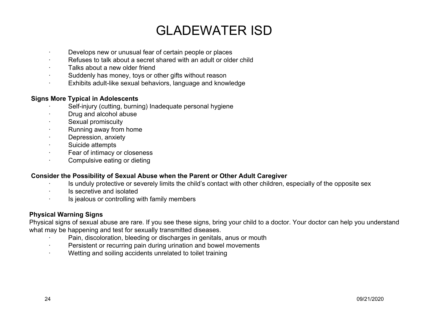- Develops new or unusual fear of certain people or places
- Refuses to talk about a secret shared with an adult or older child
- Talks about a new older friend
- Suddenly has money, toys or other gifts without reason
- · Exhibits adult-like sexual behaviors, language and knowledge

#### **Signs More Typical in Adolescents**

- Self-injury (cutting, burning) Inadequate personal hygiene
- · Drug and alcohol abuse
- Sexual promiscuity
- Running away from home
- Depression, anxiety
- Suicide attempts
- · Fear of intimacy or closeness
- · Compulsive eating or dieting

#### **Consider the Possibility of Sexual Abuse when the Parent or Other Adult Caregiver**

- Is unduly protective or severely limits the child's contact with other children, especially of the opposite sex
- · Is secretive and isolated
- Is jealous or controlling with family members

#### **Physical Warning Signs**

Physical signs of sexual abuse are rare. If you see these signs, bring your child to a doctor. Your doctor can help you understand what may be happening and test for sexually transmitted diseases.

- Pain, discoloration, bleeding or discharges in genitals, anus or mouth
- · Persistent or recurring pain during urination and bowel movements
- Wetting and soiling accidents unrelated to toilet training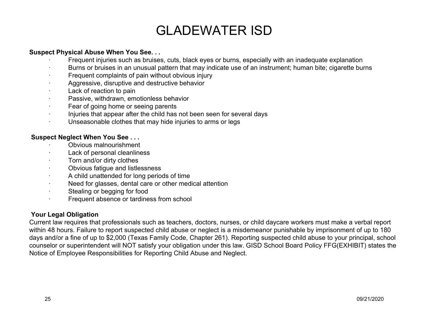#### **Suspect Physical Abuse When You See. . .**

- Frequent injuries such as bruises, cuts, black eyes or burns, especially with an inadequate explanation
- · Burns or bruises in an unusual pattern that may indicate use of an instrument; human bite; cigarette burns
- Frequent complaints of pain without obvious injury
- Aggressive, disruptive and destructive behavior
- Lack of reaction to pain
- Passive, withdrawn, emotionless behavior
- Fear of going home or seeing parents
- · Injuries that appear after the child has not been seen for several days
- · Unseasonable clothes that may hide injuries to arms or legs

#### **Suspect Neglect When You See . . .**

- · Obvious malnourishment
- Lack of personal cleanliness
- Torn and/or dirty clothes
- Obvious fatigue and listlessness
- · A child unattended for long periods of time
- · Need for glasses, dental care or other medical attention
- · Stealing or begging for food
- · Frequent absence or tardiness from school

#### **Your Legal Obligation**

Current law requires that professionals such as teachers, doctors, nurses, or child daycare workers must make a verbal report within 48 hours. Failure to report suspected child abuse or neglect is a misdemeanor punishable by imprisonment of up to 180 days and/or a fine of up to \$2,000 (Texas Family Code, Chapter 261). Reporting suspected child abuse to your principal, school counselor or superintendent will NOT satisfy your obligation under this law. GISD School Board Policy FFG(EXHIBIT) states the Notice of Employee Responsibilities for Reporting Child Abuse and Neglect.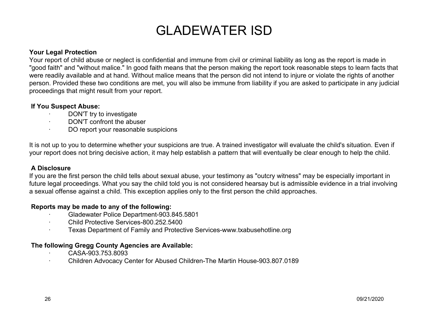#### **Your Legal Protection**

Your report of child abuse or neglect is confidential and immune from civil or criminal liability as long as the report is made in "good faith" and "without malice." In good faith means that the person making the report took reasonable steps to learn facts that were readily available and at hand. Without malice means that the person did not intend to injure or violate the rights of another person. Provided these two conditions are met, you will also be immune from liability if you are asked to participate in any judicial proceedings that might result from your report.

#### **If You Suspect Abuse:**

- DON'T try to investigate
- DON'T confront the abuser
- DO report your reasonable suspicions

It is not up to you to determine whether your suspicions are true. A trained investigator will evaluate the child's situation. Even if your report does not bring decisive action, it may help establish a pattern that will eventually be clear enough to help the child.

#### **A Disclosure**

If you are the first person the child tells about sexual abuse, your testimony as "outcry witness" may be especially important in future legal proceedings. What you say the child told you is not considered hearsay but is admissible evidence in a trial involving a sexual offense against a child. This exception applies only to the first person the child approaches.

#### **Reports may be made to any of the following:**

- · Gladewater Police Department-903.845.5801
- · Child Protective Services-800.252.5400
- · Texas Department of Family and Protective Services-www.txabusehotline.org

#### **The following Gregg County Agencies are Available:**

- · CASA-903.753.8093
- · Children Advocacy Center for Abused Children-The Martin House-903.807.0189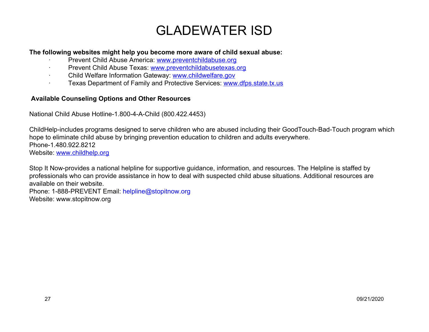#### **The following websites might help you become more aware of child sexual abuse:**

- Prevent Child Abuse America: [www.preventchildabuse.org](http://www.preventchildabuse.org/)
- · Prevent Child Abuse Texas[:](http://www.preventchildabusetexas.org/) [www.preventchildabusetexas.org](http://www.preventchildabusetexas.org/)
- Child Welfare Information Gateway: [www.childwelfare.gov](http://www.childwelfare.gov/)
- · Texas Department of Family and Protective Services: [www.dfps.state.tx.us](http://www.dfps.state.tx.us/)

#### **Available Counseling Options and Other Resources**

National Child Abuse Hotline-1.800-4-A-Child (800.422.4453)

ChildHelp-includes programs designed to serve children who are abused including their GoodTouch-Bad-Touch program which hope to eliminate child abuse by bringing prevention education to children and adults everywhere. Phone-1.480.922.8212 Website[:](http://www.childhelp.org/) [www.childhelp.org](http://www.childhelp.org/)

Stop It Now-provides a national helpline for supportive guidance, information, and resources. The Helpline is staffed by professionals who can provide assistance in how to deal with suspected child abuse situations. Additional resources are available on their website.

Phone: 1-888-PREVENT Email: helpline@stopitnow.org Website: www.stopitnow.org